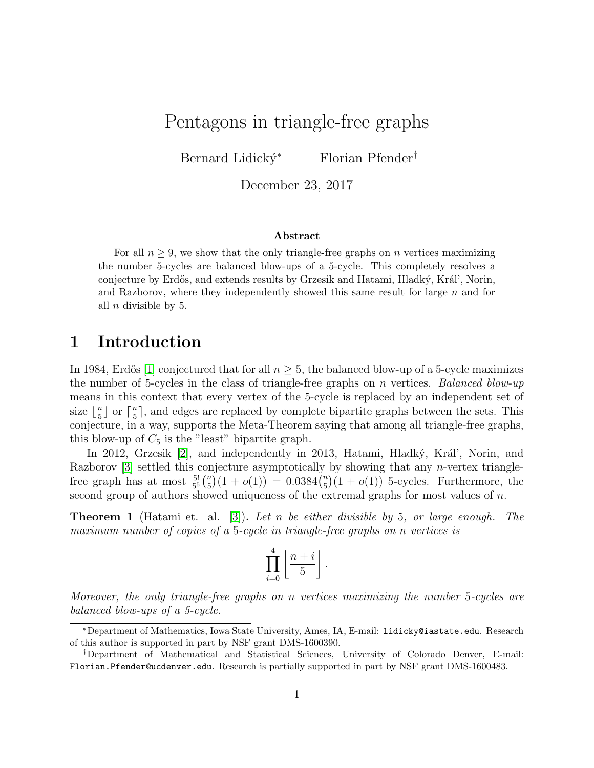Pentagons in triangle-free graphs

Bernard Lidický<sup>∗</sup> Florian Pfender<sup>†</sup>

December 23, 2017

#### Abstract

For all  $n \geq 9$ , we show that the only triangle-free graphs on n vertices maximizing the number 5-cycles are balanced blow-ups of a 5-cycle. This completely resolves a conjecture by Erdős, and extends results by Grzesik and Hatami, Hladký, Král', Norin, and Razborov, where they independently showed this same result for large  $n$  and for all  $n$  divisible by 5.

### 1 Introduction

In 1984, Erdős [\[1\]](#page-5-0) conjectured that for all  $n \geq 5$ , the balanced blow-up of a 5-cycle maximizes the number of 5-cycles in the class of triangle-free graphs on n vertices. Balanced blow-up means in this context that every vertex of the 5-cycle is replaced by an independent set of size  $\frac{n}{5}$  $\frac{n}{5}$  or  $\lceil \frac{n}{5} \rceil$  $\frac{n}{5}$ , and edges are replaced by complete bipartite graphs between the sets. This conjecture, in a way, supports the Meta-Theorem saying that among all triangle-free graphs, this blow-up of  $C_5$  is the "least" bipartite graph.

In 2012, Grzesik [\[2\]](#page-5-1), and independently in 2013, Hatami, Hladký, Král', Norin, and Razborov  $[3]$  settled this conjecture asymptotically by showing that any *n*-vertex trianglefree graph has at most  $\frac{5!}{5^5} {n \choose 5}$  $\binom{n}{5}(1+o(1)) = 0.0384\binom{n}{5}$  $\binom{n}{5}(1+o(1))$  5-cycles. Furthermore, the second group of authors showed uniqueness of the extremal graphs for most values of n.

**Theorem 1** (Hatami et. al. [\[3\]](#page-5-2)). Let n be either divisible by 5, or large enough. The maximum number of copies of a 5-cycle in triangle-free graphs on n vertices is

$$
\prod_{i=0}^4\left\lfloor{n+i\over 5}\right\rfloor.
$$

Moreover, the only triangle-free graphs on n vertices maximizing the number 5-cycles are balanced blow-ups of a 5-cycle.

<sup>∗</sup>Department of Mathematics, Iowa State University, Ames, IA, E-mail: lidicky@iastate.edu. Research of this author is supported in part by NSF grant DMS-1600390.

<sup>†</sup>Department of Mathematical and Statistical Sciences, University of Colorado Denver, E-mail: Florian.Pfender@ucdenver.edu. Research is partially supported in part by NSF grant DMS-1600483.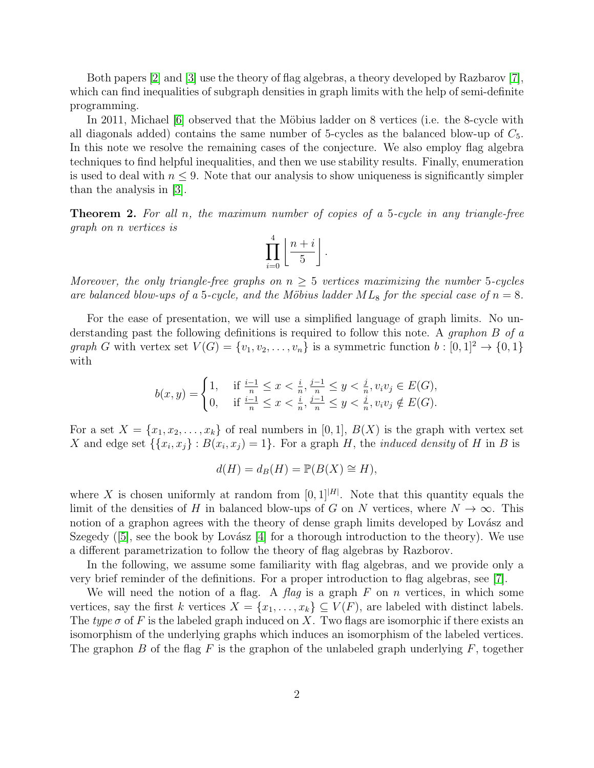Both papers [\[2\]](#page-5-1) and [\[3\]](#page-5-2) use the theory of flag algebras, a theory developed by Razbarov [\[7\]](#page-5-3), which can find inequalities of subgraph densities in graph limits with the help of semi-definite programming.

In 2011, Michael [\[6\]](#page-5-4) observed that the Möbius ladder on 8 vertices (i.e. the 8-cycle with all diagonals added) contains the same number of 5-cycles as the balanced blow-up of  $C_5$ . In this note we resolve the remaining cases of the conjecture. We also employ flag algebra techniques to find helpful inequalities, and then we use stability results. Finally, enumeration is used to deal with  $n \leq 9$ . Note that our analysis to show uniqueness is significantly simpler than the analysis in [\[3\]](#page-5-2).

<span id="page-1-0"></span>**Theorem 2.** For all n, the maximum number of copies of a 5-cycle in any triangle-free graph on n vertices is

$$
\prod_{i=0}^{4} \left\lfloor \frac{n+i}{5} \right\rfloor.
$$

Moreover, the only triangle-free graphs on  $n \geq 5$  vertices maximizing the number 5-cycles are balanced blow-ups of a 5-cycle, and the Möbius ladder  $ML_8$  for the special case of  $n = 8$ .

For the ease of presentation, we will use a simplified language of graph limits. No understanding past the following definitions is required to follow this note. A graphon B of a graph G with vertex set  $V(G) = \{v_1, v_2, \ldots, v_n\}$  is a symmetric function  $b : [0,1]^2 \to \{0,1\}$ with

$$
b(x,y) = \begin{cases} 1, & \text{if } \frac{i-1}{n} \le x < \frac{i}{n}, \frac{j-1}{n} \le y < \frac{j}{n}, v_i v_j \in E(G), \\ 0, & \text{if } \frac{i-1}{n} \le x < \frac{i}{n}, \frac{j-1}{n} \le y < \frac{j}{n}, v_i v_j \notin E(G). \end{cases}
$$

For a set  $X = \{x_1, x_2, \ldots, x_k\}$  of real numbers in [0, 1],  $B(X)$  is the graph with vertex set X and edge set  $\{\{x_i, x_j\} : B(x_i, x_j) = 1\}$ . For a graph H, the *induced density* of H in B is

$$
d(H) = d_B(H) = \mathbb{P}(B(X) \cong H),
$$

where X is chosen uniformly at random from  $[0, 1]^{|H|}$ . Note that this quantity equals the limit of the densities of H in balanced blow-ups of G on N vertices, where  $N \to \infty$ . This notion of a graphon agrees with the theory of dense graph limits developed by Lovász and Szegedy  $([5]$  $([5]$ , see the book by Lovász [\[4\]](#page-5-6) for a thorough introduction to the theory). We use a different parametrization to follow the theory of flag algebras by Razborov.

In the following, we assume some familiarity with flag algebras, and we provide only a very brief reminder of the definitions. For a proper introduction to flag algebras, see [\[7\]](#page-5-3).

We will need the notion of a flag. A flag is a graph  $F$  on  $n$  vertices, in which some vertices, say the first k vertices  $X = \{x_1, \ldots, x_k\} \subseteq V(F)$ , are labeled with distinct labels. The type  $\sigma$  of F is the labeled graph induced on X. Two flags are isomorphic if there exists an isomorphism of the underlying graphs which induces an isomorphism of the labeled vertices. The graphon B of the flag F is the graphon of the unlabeled graph underlying  $F$ , together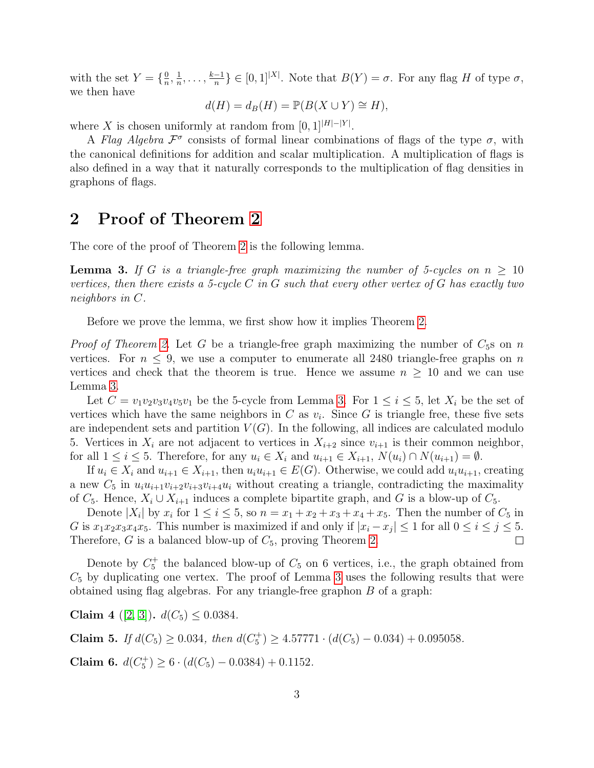with the set  $Y = \left\{\frac{0}{n}\right\}$  $\frac{0}{n}, \frac{1}{n}$  $\frac{1}{n}, \ldots, \frac{k-1}{n}$  $\frac{-1}{n}$ }  $\in [0,1]^{X}$ . Note that  $B(Y) = \sigma$ . For any flag H of type  $\sigma$ , we then have

$$
d(H) = d_B(H) = \mathbb{P}(B(X \cup Y) \cong H),
$$

where X is chosen uniformly at random from  $[0,1^{|H|-|Y|}$ .

A Flag Algebra  $\mathcal{F}^{\sigma}$  consists of formal linear combinations of flags of the type  $\sigma$ , with the canonical definitions for addition and scalar multiplication. A multiplication of flags is also defined in a way that it naturally corresponds to the multiplication of flag densities in graphons of flags.

### 2 Proof of Theorem [2](#page-1-0)

The core of the proof of Theorem [2](#page-1-0) is the following lemma.

<span id="page-2-0"></span>**Lemma 3.** If G is a triangle-free graph maximizing the number of 5-cycles on  $n \geq 10$ vertices, then there exists a 5-cycle C in G such that every other vertex of G has exactly two neighbors in C.

Before we prove the lemma, we first show how it implies Theorem [2.](#page-1-0)

*Proof of Theorem [2.](#page-1-0)* Let G be a triangle-free graph maximizing the number of  $C_5$ s on n vertices. For  $n \leq 9$ , we use a computer to enumerate all 2480 triangle-free graphs on n vertices and check that the theorem is true. Hence we assume  $n \geq 10$  and we can use Lemma [3.](#page-2-0)

Let  $C = v_1v_2v_3v_4v_5v_1$  be the 5-cycle from Lemma [3.](#page-2-0) For  $1 \le i \le 5$ , let  $X_i$  be the set of vertices which have the same neighbors in  $C$  as  $v_i$ . Since  $G$  is triangle free, these five sets are independent sets and partition  $V(G)$ . In the following, all indices are calculated modulo 5. Vertices in  $X_i$  are not adjacent to vertices in  $X_{i+2}$  since  $v_{i+1}$  is their common neighbor, for all  $1 \leq i \leq 5$ . Therefore, for any  $u_i \in X_i$  and  $u_{i+1} \in X_{i+1}$ ,  $N(u_i) \cap N(u_{i+1}) = \emptyset$ .

If  $u_i \in X_i$  and  $u_{i+1} \in X_{i+1}$ , then  $u_i u_{i+1} \in E(G)$ . Otherwise, we could add  $u_i u_{i+1}$ , creating a new  $C_5$  in  $u_iu_{i+1}v_{i+2}v_{i+3}v_{i+4}u_i$  without creating a triangle, contradicting the maximality of  $C_5$ . Hence,  $X_i \cup X_{i+1}$  induces a complete bipartite graph, and G is a blow-up of  $C_5$ .

Denote  $|X_i|$  by  $x_i$  for  $1 \le i \le 5$ , so  $n = x_1 + x_2 + x_3 + x_4 + x_5$ . Then the number of  $C_5$  in G is  $x_1x_2x_3x_4x_5$ . This number is maximized if and only if  $|x_i - x_j| \leq 1$  for all  $0 \leq i \leq j \leq 5$ . Therefore, G is a balanced blow-up of  $C_5$ , proving Theorem [2.](#page-1-0)  $\Box$ 

Denote by  $C_5^+$  the balanced blow-up of  $C_5$  on 6 vertices, i.e., the graph obtained from  $C_5$  by duplicating one vertex. The proof of Lemma [3](#page-2-0) uses the following results that were obtained using flag algebras. For any triangle-free graphon B of a graph:

<span id="page-2-3"></span>Claim 4 ([\[2,](#page-5-1) [3\]](#page-5-2)).  $d(C_5) \leq 0.0384$ .

<span id="page-2-1"></span>Claim 5. If  $d(C_5) \ge 0.034$ , then  $d(C_5^+) \ge 4.57771 \cdot (d(C_5) - 0.034) + 0.095058$ .

<span id="page-2-2"></span>Claim 6.  $d(C_5^+) \ge 6 \cdot (d(C_5) - 0.0384) + 0.1152$ .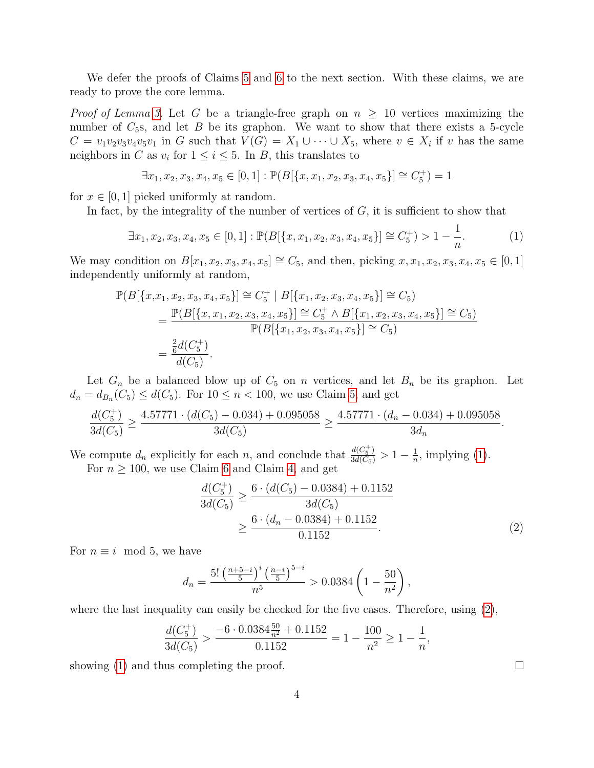We defer the proofs of Claims [5](#page-2-1) and [6](#page-2-2) to the next section. With these claims, we are ready to prove the core lemma.

*Proof of Lemma [3.](#page-2-0)* Let G be a triangle-free graph on  $n \geq 10$  vertices maximizing the number of  $C_5$ s, and let  $B$  be its graphon. We want to show that there exists a 5-cycle  $C = v_1v_2v_3v_4v_5v_1$  in G such that  $V(G) = X_1 \cup \cdots \cup X_5$ , where  $v \in X_i$  if v has the same neighbors in C as  $v_i$  for  $1 \le i \le 5$ . In B, this translates to

$$
\exists x_1, x_2, x_3, x_4, x_5 \in [0, 1] : \mathbb{P}(B[\{x, x_1, x_2, x_3, x_4, x_5\}] \cong C_5^+) = 1
$$

for  $x \in [0, 1]$  picked uniformly at random.

In fact, by the integrality of the number of vertices of  $G$ , it is sufficient to show that

<span id="page-3-0"></span>
$$
\exists x_1, x_2, x_3, x_4, x_5 \in [0, 1]: \mathbb{P}(B[\{x, x_1, x_2, x_3, x_4, x_5\}] \cong C_5^+) > 1 - \frac{1}{n}.\tag{1}
$$

We may condition on  $B[x_1, x_2, x_3, x_4, x_5] \cong C_5$ , and then, picking  $x, x_1, x_2, x_3, x_4, x_5 \in [0, 1]$ independently uniformly at random,

$$
\mathbb{P}(B[\{x,x_1,x_2,x_3,x_4,x_5\}] \cong C_5^+ | B[\{x_1,x_2,x_3,x_4,x_5\}] \cong C_5)
$$
  
= 
$$
\frac{\mathbb{P}(B[\{x,x_1,x_2,x_3,x_4,x_5\}] \cong C_5^+ \wedge B[\{x_1,x_2,x_3,x_4,x_5\}] \cong C_5)}{\mathbb{P}(B[\{x_1,x_2,x_3,x_4,x_5\}] \cong C_5)}
$$
  
= 
$$
\frac{\frac{2}{6}d(C_5^+)}{d(C_5)}.
$$

Let  $G_n$  be a balanced blow up of  $C_5$  on n vertices, and let  $B_n$  be its graphon. Let  $d_n = d_{B_n}(C_5) \leq d(C_5)$ . For  $10 \leq n < 100$ , we use Claim [5,](#page-2-1) and get

$$
\frac{d(C_5^+)}{3d(C_5)} \ge \frac{4.57771 \cdot (d(C_5) - 0.034) + 0.095058}{3d(C_5)} \ge \frac{4.57771 \cdot (d_n - 0.034) + 0.095058}{3d_n}.
$$

We compute  $d_n$  explicitly for each n, and conclude that  $\frac{d(C_5^+)}{3d(C_5)} > 1 - \frac{1}{n}$  $\frac{1}{n}$ , implying [\(1\)](#page-3-0). For  $n \geq 100$ , we use Claim [6](#page-2-2) and Claim [4,](#page-2-3) and get

$$
\frac{d(C_5^+)}{3d(C_5)} \ge \frac{6 \cdot (d(C_5) - 0.0384) + 0.1152}{3d(C_5)}
$$
  
\n
$$
\ge \frac{6 \cdot (d_n - 0.0384) + 0.1152}{0.1152}.
$$
 (2)

For  $n \equiv i \mod 5$ , we have

$$
d_n = \frac{5! \left(\frac{n+5-i}{5}\right)^i \left(\frac{n-i}{5}\right)^{5-i}}{n^5} > 0.0384 \left(1 - \frac{50}{n^2}\right),
$$

where the last inequality can easily be checked for the five cases. Therefore, using  $(2)$ ,

$$
\frac{d(C_5^+)}{3d(C_5)} > \frac{-6 \cdot 0.0384 \frac{50}{n^2} + 0.1152}{0.1152} = 1 - \frac{100}{n^2} \ge 1 - \frac{1}{n},
$$

showing [\(1\)](#page-3-0) and thus completing the proof.

<span id="page-3-1"></span> $\Box$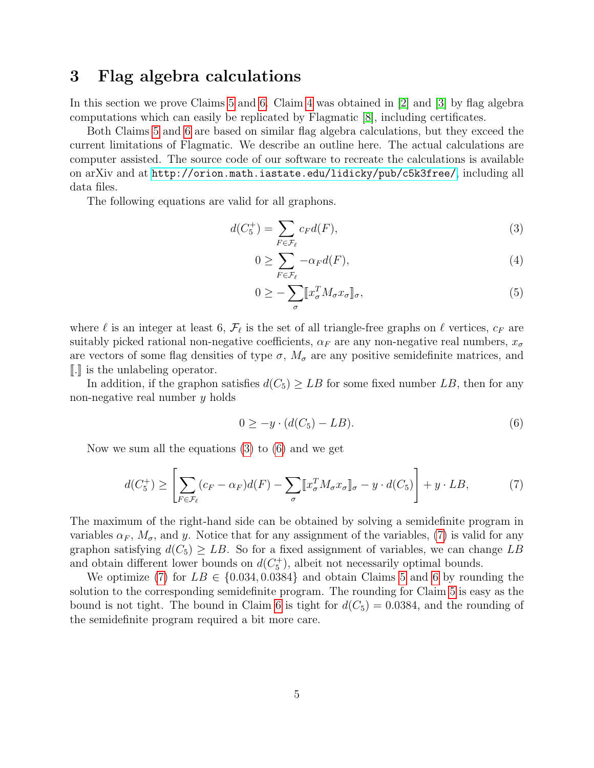## 3 Flag algebra calculations

In this section we prove Claims [5](#page-2-1) and [6.](#page-2-2) Claim [4](#page-2-3) was obtained in [\[2\]](#page-5-1) and [\[3\]](#page-5-2) by flag algebra computations which can easily be replicated by Flagmatic [\[8\]](#page-5-7), including certificates.

Both Claims [5](#page-2-1) and [6](#page-2-2) are based on similar flag algebra calculations, but they exceed the current limitations of Flagmatic. We describe an outline here. The actual calculations are computer assisted. The source code of our software to recreate the calculations is available on arXiv and at <http://orion.math.iastate.edu/lidicky/pub/c5k3free/>, including all data files.

The following equations are valid for all graphons.

$$
d(C_5^+) = \sum_{F \in \mathcal{F}_\ell} c_F d(F),\tag{3}
$$

<span id="page-4-0"></span>
$$
0 \ge \sum_{F \in \mathcal{F}_{\ell}} -\alpha_F d(F),\tag{4}
$$

$$
0 \geq -\sum_{\sigma} [x_{\sigma}^T M_{\sigma} x_{\sigma}]_{\sigma},\tag{5}
$$

where  $\ell$  is an integer at least 6,  $\mathcal{F}_{\ell}$  is the set of all triangle-free graphs on  $\ell$  vertices,  $c_F$  are suitably picked rational non-negative coefficients,  $\alpha_F$  are any non-negative real numbers,  $x_{\sigma}$ are vectors of some flag densities of type  $\sigma$ ,  $M_{\sigma}$  are any positive semidefinite matrices, and  $\llbracket . \rrbracket$  is the unlabeling operator.

In addition, if the graphon satisfies  $d(C_5) \geq LB$  for some fixed number LB, then for any non-negative real number y holds

<span id="page-4-2"></span><span id="page-4-1"></span>
$$
0 \ge -y \cdot (d(C_5) - LB). \tag{6}
$$

Now we sum all the equations [\(3\)](#page-4-0) to [\(6\)](#page-4-1) and we get

$$
d(C_5^+) \ge \left[ \sum_{F \in \mathcal{F}_\ell} (c_F - \alpha_F) d(F) - \sum_{\sigma} \llbracket x_{\sigma}^T M_{\sigma} x_{\sigma} \rrbracket_{\sigma} - y \cdot d(C_5) \right] + y \cdot LB,\tag{7}
$$

The maximum of the right-hand side can be obtained by solving a semidefinite program in variables  $\alpha_F$ ,  $M_{\sigma}$ , and y. Notice that for any assignment of the variables, [\(7\)](#page-4-2) is valid for any graphon satisfying  $d(C_5) \geq LB$ . So for a fixed assignment of variables, we can change LB and obtain different lower bounds on  $d(C_5^+)$ , albeit not necessarily optimal bounds.

We optimize [\(7\)](#page-4-2) for  $LB \in \{0.034, 0.0384\}$  and obtain Claims [5](#page-2-1) and [6](#page-2-2) by rounding the solution to the corresponding semidefinite program. The rounding for Claim [5](#page-2-1) is easy as the bound is not tight. The bound in Claim [6](#page-2-2) is tight for  $d(C_5) = 0.0384$ , and the rounding of the semidefinite program required a bit more care.